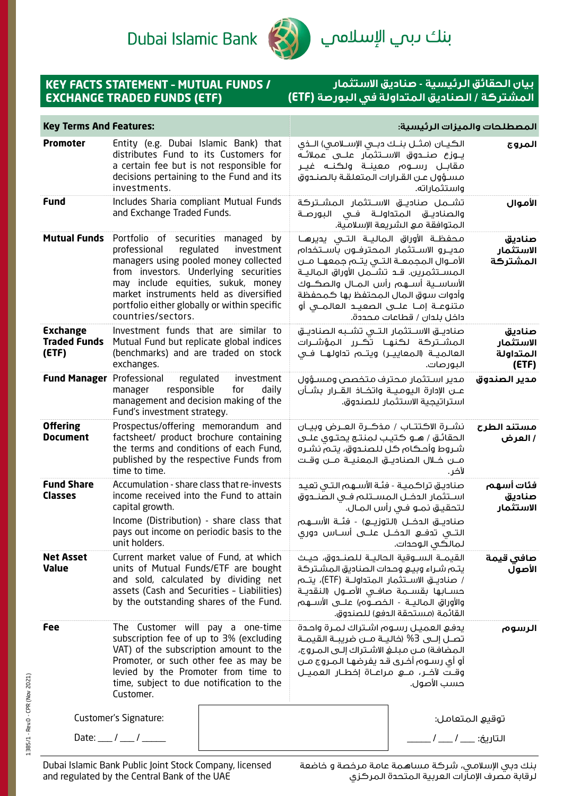Dubai Islamic Bank



بنك ىبم ال<mark>إسلام</mark>ي

## **KEY FACTS STATEMENT – MUTUAL FUNDS / EXCHANGE TRADED FUNDS (ETF)**

## **بيان الحقائق الرئيسية - صناديق االستثمار المشتركة / الصناديق المتداولة في البورصة )ETF)**

| Entity (e.g. Dubai Islamic Bank) that<br><b>Promoter</b><br>الكيــان (مثــل بنــك دبــى الإســلامـى) الــذى<br>distributes Fund to its Customers for<br>يــوزع صنـــدوق الاســتثمار علـــى عملائــه<br>a certain fee but is not responsible for<br>مقابــل رســوم معينــة ولكنــه غيــر<br>decisions pertaining to the Fund and its<br>مسؤول عن القرارات المتعلقة بالصندوق<br>investments.<br>واستثماراته.<br>Includes Sharia compliant Mutual Funds<br><b>Fund</b><br>تشـــمل صناديـــق الاســـتثمار الـمشــتركة<br>and Exchange Traded Funds.<br>والصناديـــق الـمـتداولـــة فـــى الـبـورصــة<br>المتوافقة مع الشريعة الإسلامية.<br><b>Mutual Funds</b><br>Portfolio of securities managed by<br>محفظــة الأوراق الـماليــة الـتــى يديرهــا<br>professional<br>regulated<br>مديـرو الاسـتثمار المحترفـون باسـتخدام<br>investment<br>managers using pooled money collected<br>الأمــوال المجمعــة التــى يتــم جمعهــا مــن<br>from investors. Underlying securities<br>المســـتثمرين. قــــــــــتشــــمـــل الأوراق الــمـالـيـــة<br>may include equities, sukuk, money<br>الأساســية أســـهم رأس المــال والصكـــوك<br>market instruments held as diversified<br>وأدوات سوق المال المحتفظ بها كمحفظة<br>portfolio either globally or within specific<br>متنوعــة إمــا علـــى الـصعيـــد العالمـــى أو<br>countries/sectors.<br>داخل بلدان / قطاعات محددة.<br>Investment funds that are similar to<br><b>Exchange</b><br>صناديــــق الاســــتثمار الـتـــى تشـــبه الـصناديـــق<br><b>Traded Funds</b><br>Mutual Fund but replicate global indices<br>المشــتركة لكنهـا تحـَــرر المؤشــرات<br>$($ ETF $)$<br>(benchmarks) and are traded on stock<br>العالميـة (المعاييـر) ويتـم تداولهـا فـي<br>exchanges.<br>البورصات.<br><b>Fund Manager Professional</b><br>regulated<br>investment<br>مدير استثمار محترف متخصص ومسؤول<br>responsible<br>daily<br>manager<br>for<br>عـــن الإدارة الـيومـيـــة واتخـــاذ الـقـــرار بـشـــأن<br>management and decision making of the<br>استراتيجية الاستثمار للصندوق.<br>Fund's investment strategy.<br><b>Offering</b><br>Prospectus/offering memorandum and<br>نشــرة الاكتتــاب / مذكــرة العــرض وبيــان<br>factsheet/ product brochure containing<br><b>Document</b><br>الحقائــق / هــو كـتيـب لـمـنـتــع يـحـتــوى عـلــى<br>the terms and conditions of each Fund,<br>شـروط وأحـكام كـل للصنـدوق، يتـم نشـره<br>published by the respective Funds from<br>مـــن خـــلال الـصناديـــق الـمعنيـــة مــــن وقــت<br>time to time.<br>لآخر.<br><b>Fund Share</b><br>Accumulation - share class that re-invests<br>صناديـق تراكميـة - فئـة الأسـهم التـى تعيـد<br><b>Classes</b><br>income received into the Fund to attain<br>اسـتثمار الدخـل المسـتلم فـى الصنـدوق<br>capital growth.<br>لتحقيق نمـو فـى رأس المـال.<br>Income (Distribution) - share class that<br>صناديـــق الـدخـــل (الـتوزيــــع) - فئــة الأســــهم<br>pays out income on periodic basis to the<br>التـــى تــَـفـــع الـــحـــل علـــــى أســــاس دورى<br>unit holders.<br>لمالكى الوحدات.<br><b>Net Asset</b><br>Current market value of Fund, at which<br>القيمــة الســـوقية الـحاليــة للـصنـــدوق، حيــث<br><b>Value</b><br>units of Mutual Funds/ETF are bought<br>يتم شراء وبيع وحدات الصناديق المشتركة<br>and sold, calculated by dividing net<br>assets (Cash and Securities - Liabilities)<br>حســابها بقســمة صافــى الأصــول (النقديــة<br>by the outstanding shares of the Fund.<br>والأوراق الماليــة - الخصــوّه) علـــى الأســـهم<br>القائمة (مستحقة الدفع) للصندوق.<br>Fee<br>The Customer will pay a one-time<br>يدفع العميل رسوم اشتراك لمرة واحدة | <b>Key Terms And Features:</b> |  |                     |  | المصطلحات والميزات الرئيسية: |                                           |
|------------------------------------------------------------------------------------------------------------------------------------------------------------------------------------------------------------------------------------------------------------------------------------------------------------------------------------------------------------------------------------------------------------------------------------------------------------------------------------------------------------------------------------------------------------------------------------------------------------------------------------------------------------------------------------------------------------------------------------------------------------------------------------------------------------------------------------------------------------------------------------------------------------------------------------------------------------------------------------------------------------------------------------------------------------------------------------------------------------------------------------------------------------------------------------------------------------------------------------------------------------------------------------------------------------------------------------------------------------------------------------------------------------------------------------------------------------------------------------------------------------------------------------------------------------------------------------------------------------------------------------------------------------------------------------------------------------------------------------------------------------------------------------------------------------------------------------------------------------------------------------------------------------------------------------------------------------------------------------------------------------------------------------------------------------------------------------------------------------------------------------------------------------------------------------------------------------------------------------------------------------------------------------------------------------------------------------------------------------------------------------------------------------------------------------------------------------------------------------------------------------------------------------------------------------------------------------------------------------------------------------------------------------------------------------------------------------------------------------------------------------------------------------------------------------------------------------------------------------------------------------------------------------------------------------------------------------------------------------------------------------------------------------------------------------------------------------------------------------------------------------------------------------------------------------------------------------------------------------------------------------------------------------------------------------------------------------------------------------------------------------------------------------------------------------------------------------------------------------------------------------------------------------------------------------------------------------------------|--------------------------------|--|---------------------|--|------------------------------|-------------------------------------------|
|                                                                                                                                                                                                                                                                                                                                                                                                                                                                                                                                                                                                                                                                                                                                                                                                                                                                                                                                                                                                                                                                                                                                                                                                                                                                                                                                                                                                                                                                                                                                                                                                                                                                                                                                                                                                                                                                                                                                                                                                                                                                                                                                                                                                                                                                                                                                                                                                                                                                                                                                                                                                                                                                                                                                                                                                                                                                                                                                                                                                                                                                                                                                                                                                                                                                                                                                                                                                                                                                                                                                                                                                |                                |  |                     |  |                              | المروج                                    |
|                                                                                                                                                                                                                                                                                                                                                                                                                                                                                                                                                                                                                                                                                                                                                                                                                                                                                                                                                                                                                                                                                                                                                                                                                                                                                                                                                                                                                                                                                                                                                                                                                                                                                                                                                                                                                                                                                                                                                                                                                                                                                                                                                                                                                                                                                                                                                                                                                                                                                                                                                                                                                                                                                                                                                                                                                                                                                                                                                                                                                                                                                                                                                                                                                                                                                                                                                                                                                                                                                                                                                                                                |                                |  |                     |  |                              | الأموال                                   |
|                                                                                                                                                                                                                                                                                                                                                                                                                                                                                                                                                                                                                                                                                                                                                                                                                                                                                                                                                                                                                                                                                                                                                                                                                                                                                                                                                                                                                                                                                                                                                                                                                                                                                                                                                                                                                                                                                                                                                                                                                                                                                                                                                                                                                                                                                                                                                                                                                                                                                                                                                                                                                                                                                                                                                                                                                                                                                                                                                                                                                                                                                                                                                                                                                                                                                                                                                                                                                                                                                                                                                                                                |                                |  |                     |  |                              | صناديق<br>الاستثمار<br>المشتركة           |
|                                                                                                                                                                                                                                                                                                                                                                                                                                                                                                                                                                                                                                                                                                                                                                                                                                                                                                                                                                                                                                                                                                                                                                                                                                                                                                                                                                                                                                                                                                                                                                                                                                                                                                                                                                                                                                                                                                                                                                                                                                                                                                                                                                                                                                                                                                                                                                                                                                                                                                                                                                                                                                                                                                                                                                                                                                                                                                                                                                                                                                                                                                                                                                                                                                                                                                                                                                                                                                                                                                                                                                                                |                                |  |                     |  |                              | صناديق<br>الاستثمار<br>المتداولة<br>(ETF) |
|                                                                                                                                                                                                                                                                                                                                                                                                                                                                                                                                                                                                                                                                                                                                                                                                                                                                                                                                                                                                                                                                                                                                                                                                                                                                                                                                                                                                                                                                                                                                                                                                                                                                                                                                                                                                                                                                                                                                                                                                                                                                                                                                                                                                                                                                                                                                                                                                                                                                                                                                                                                                                                                                                                                                                                                                                                                                                                                                                                                                                                                                                                                                                                                                                                                                                                                                                                                                                                                                                                                                                                                                |                                |  |                     |  |                              | مدير الصندوق                              |
|                                                                                                                                                                                                                                                                                                                                                                                                                                                                                                                                                                                                                                                                                                                                                                                                                                                                                                                                                                                                                                                                                                                                                                                                                                                                                                                                                                                                                                                                                                                                                                                                                                                                                                                                                                                                                                                                                                                                                                                                                                                                                                                                                                                                                                                                                                                                                                                                                                                                                                                                                                                                                                                                                                                                                                                                                                                                                                                                                                                                                                                                                                                                                                                                                                                                                                                                                                                                                                                                                                                                                                                                |                                |  |                     |  |                              | مستند الطرح<br>/ العرض                    |
|                                                                                                                                                                                                                                                                                                                                                                                                                                                                                                                                                                                                                                                                                                                                                                                                                                                                                                                                                                                                                                                                                                                                                                                                                                                                                                                                                                                                                                                                                                                                                                                                                                                                                                                                                                                                                                                                                                                                                                                                                                                                                                                                                                                                                                                                                                                                                                                                                                                                                                                                                                                                                                                                                                                                                                                                                                                                                                                                                                                                                                                                                                                                                                                                                                                                                                                                                                                                                                                                                                                                                                                                |                                |  |                     |  |                              | فئات أسهم<br>صناديق<br>الاستثمار          |
|                                                                                                                                                                                                                                                                                                                                                                                                                                                                                                                                                                                                                                                                                                                                                                                                                                                                                                                                                                                                                                                                                                                                                                                                                                                                                                                                                                                                                                                                                                                                                                                                                                                                                                                                                                                                                                                                                                                                                                                                                                                                                                                                                                                                                                                                                                                                                                                                                                                                                                                                                                                                                                                                                                                                                                                                                                                                                                                                                                                                                                                                                                                                                                                                                                                                                                                                                                                                                                                                                                                                                                                                |                                |  | صافي قيمة<br>الأصول |  |                              |                                           |
| subscription fee of up to 3% (excluding<br>VAT) of the subscription amount to the<br>المضافة) مـن مبلـغ الاشـتراك إلـى المـروج،<br>Promoter, or such other fee as may be<br>أو أي رسـوم أخـري قـد يفرضهـا الـمـروج مــن<br>levied by the Promoter from time to<br>time, subject to due notification to the<br>حسب الأصول.<br>Customer.                                                                                                                                                                                                                                                                                                                                                                                                                                                                                                                                                                                                                                                                                                                                                                                                                                                                                                                                                                                                                                                                                                                                                                                                                                                                                                                                                                                                                                                                                                                                                                                                                                                                                                                                                                                                                                                                                                                                                                                                                                                                                                                                                                                                                                                                                                                                                                                                                                                                                                                                                                                                                                                                                                                                                                                                                                                                                                                                                                                                                                                                                                                                                                                                                                                         |                                |  |                     |  |                              | الرسوم                                    |
| Customer's Signature:<br>توقيع المتعامل:<br>Date: $\_\_\_\_\_\_\_\$<br>التاريخ: _                                                                                                                                                                                                                                                                                                                                                                                                                                                                                                                                                                                                                                                                                                                                                                                                                                                                                                                                                                                                                                                                                                                                                                                                                                                                                                                                                                                                                                                                                                                                                                                                                                                                                                                                                                                                                                                                                                                                                                                                                                                                                                                                                                                                                                                                                                                                                                                                                                                                                                                                                                                                                                                                                                                                                                                                                                                                                                                                                                                                                                                                                                                                                                                                                                                                                                                                                                                                                                                                                                              |                                |  |                     |  |                              |                                           |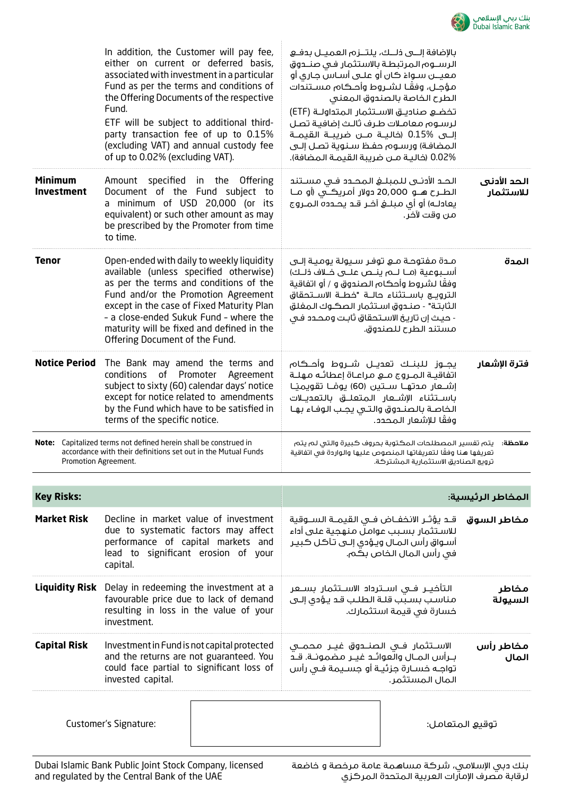

| In addition, the Customer will pay fee,<br>either on current or deferred basis,<br>associated with investment in a particular<br>Fund as per the terms and conditions of<br>the Offering Documents of the respective<br>Fund.<br>ETF will be subject to additional third-<br>party transaction fee of up to 0.15%<br>(excluding VAT) and annual custody fee<br>of up to 0.02% (excluding VAT). |                                                                                                                                                                                                                                                                                                                                            |                                                                                                                                                                            | بالإضافة إلـــى ذلــك، يلتــزم العميــل بدفــع<br>الرسـوم المرتبطـة بالاستثمار فى صنـدوق<br>معيـــن سـواءَ كان أو علــى أسـاس جـارى أو<br>مؤجـل، وفقًـا لشـروط وأحـكام مسـتندات<br>تخضع صناديـق الاسـتثمار المتداولـة (ETF)<br>لرسوم معاملات طرف ثالث إضافية تصل<br>إلـــى %0.15 (خاليـــة مــــن ضريبـــة القيمــة<br>المضافة) ورسـوم حفـظ سـنـوية تصـل إلــى<br>0.02% (خالية مـن ضريبة القيمـة المضافة). | الطرح الخاصة بالصندوق المعنى |                          |
|------------------------------------------------------------------------------------------------------------------------------------------------------------------------------------------------------------------------------------------------------------------------------------------------------------------------------------------------------------------------------------------------|--------------------------------------------------------------------------------------------------------------------------------------------------------------------------------------------------------------------------------------------------------------------------------------------------------------------------------------------|----------------------------------------------------------------------------------------------------------------------------------------------------------------------------|------------------------------------------------------------------------------------------------------------------------------------------------------------------------------------------------------------------------------------------------------------------------------------------------------------------------------------------------------------------------------------------------------------|------------------------------|--------------------------|
| <b>Minimum</b><br><b>Investment</b>                                                                                                                                                                                                                                                                                                                                                            | Amount specified in the Offering<br>Document of the Fund subject to<br>a minimum of USD 20,000 (or its<br>equivalent) or such other amount as may<br>be prescribed by the Promoter from time<br>to time.                                                                                                                                   |                                                                                                                                                                            | الحد الأدنــى لـلـمبـلــــــــــي المحـــدد فـــى مـســـتنـد<br>الطــرح هـــو 20,000 دولار أمـريڪــَي (أو مــا<br>يعادلـه) أو أي مبلــــفي آخــر قــد يحـــدده الـمــروج                                                                                                                                                                                                                                   | من وقت لآخر.                 | الحد الأدنى<br>للاستثمار |
| <b>Tenor</b>                                                                                                                                                                                                                                                                                                                                                                                   | Open-ended with daily to weekly liquidity<br>available (unless specified otherwise)<br>as per the terms and conditions of the<br>Fund and/or the Promotion Agreement<br>except in the case of Fixed Maturity Plan<br>- a close-ended Sukuk Fund - where the<br>maturity will be fixed and defined in the<br>Offering Document of the Fund. |                                                                                                                                                                            | مـدة مفتوحـة مـع توفـر سـيولة يوميـة إلـى<br>أسـبوعية (مــا لــــم ينـــص علــــى خــلاف ذلــك)<br>وفقًا لشروط وأحكام الصندوق و / أو اتفاقية<br>الثابتة" - صندوق استثمار الصكوك المغلق<br>- حيث إن تاريخ الاستحقاق ثابت ومحدد فى                                                                                                                                                                           | مستند الطرح للصندوق.         | المدة                    |
| <b>Notice Period</b><br>The Bank may amend the terms and<br>conditions<br>subject to sixty (60) calendar days' notice<br>except for notice related to amendments<br>by the Fund which have to be satisfied in<br>terms of the specific notice.                                                                                                                                                 |                                                                                                                                                                                                                                                                                                                                            | of Promoter Agreement                                                                                                                                                      | يجــوز للبنــك تعديــل شــروط وأحــكام<br>اتفاقيـة المـروج مـع مراعـاة إعطائـه مهلـة<br>إشـــعار مــدتهـــا ســـتين (60) يومـًــا تقويميـًـا<br>باســتثناء الإشــعار الـمتعلـــق بالتعديــلات<br>الخاصة بالصندوق والتى يجب الوفاء بها                                                                                                                                                                      | وفقًا للإشعار المحدد.        | فترة الإشعار             |
| Note: Capitalized terms not defined herein shall be construed in<br>accordance with their definitions set out in the Mutual Funds<br>Promotion Agreement.                                                                                                                                                                                                                                      |                                                                                                                                                                                                                                                                                                                                            | يتم تفسير المصطلحات المكتوبة بحروف كبيرة والتى لم يتم<br>ملاحظة:<br>تعريفها هنا وفقًا لتعريفاتها المنصوص عليها والواردة فى اتفاقية<br>ترويج الصناديق الاستثمارية المشتركة. |                                                                                                                                                                                                                                                                                                                                                                                                            |                              |                          |
| <b>Key Risks:</b>                                                                                                                                                                                                                                                                                                                                                                              |                                                                                                                                                                                                                                                                                                                                            | المخاطر الرئيسية:                                                                                                                                                          |                                                                                                                                                                                                                                                                                                                                                                                                            |                              |                          |
| <b>Market Risk</b><br>Decline in market value of investment<br>due to systematic factors may affect<br>performance of capital markets and<br>lead to significant erosion of your<br>capital.                                                                                                                                                                                                   |                                                                                                                                                                                                                                                                                                                                            |                                                                                                                                                                            | قـد يؤثـر الانخفــاض فــي القيمــة الـســوقية<br>للاسـتثمار بسـبب عواملَ منهجية علـى أداء<br>أسـواق رأس المـال ويـؤدى إلـى تـآكل كبيـر<br>في رأس المال الخاص بكم.                                                                                                                                                                                                                                          |                              | مخاطر السوق              |
| <b>Liquidity Risk</b> Delay in redeeming the investment at a<br>favourable price due to lack of demand<br>resulting in loss in the value of your<br>investment.                                                                                                                                                                                                                                |                                                                                                                                                                                                                                                                                                                                            | التأخيــر فــى اســترداد الاســتثمار بســعر<br>مناسب بسبب قلة الطلب قد يؤدى إلى<br>خسارة في قيمة استثمارك.                                                                 |                                                                                                                                                                                                                                                                                                                                                                                                            | مخاطر<br>السيولة             |                          |
| <b>Capital Risk</b><br>Investment in Fund is not capital protected<br>and the returns are not guaranteed. You<br>could face partial to significant loss of<br>invested capital.                                                                                                                                                                                                                |                                                                                                                                                                                                                                                                                                                                            |                                                                                                                                                                            | الاســـتثمار فـــي الـصنــــدوق غيـــر  مـحـمـــي<br>بـرأس المـال والعوائـد غيـر مضمونـة. قـد<br>تواجـه خسـارة جزئيـة أو جسـيمة فـى رأس<br>المال المستثمر.                                                                                                                                                                                                                                                 |                              | مخاطر رأس<br>المال       |
|                                                                                                                                                                                                                                                                                                                                                                                                | Customer's Signature:                                                                                                                                                                                                                                                                                                                      |                                                                                                                                                                            |                                                                                                                                                                                                                                                                                                                                                                                                            |                              | توقيع المتعامل:          |

Dubai Islamic Bank Public Joint Stock Company, licensed and regulated by the Central Bank of the UAE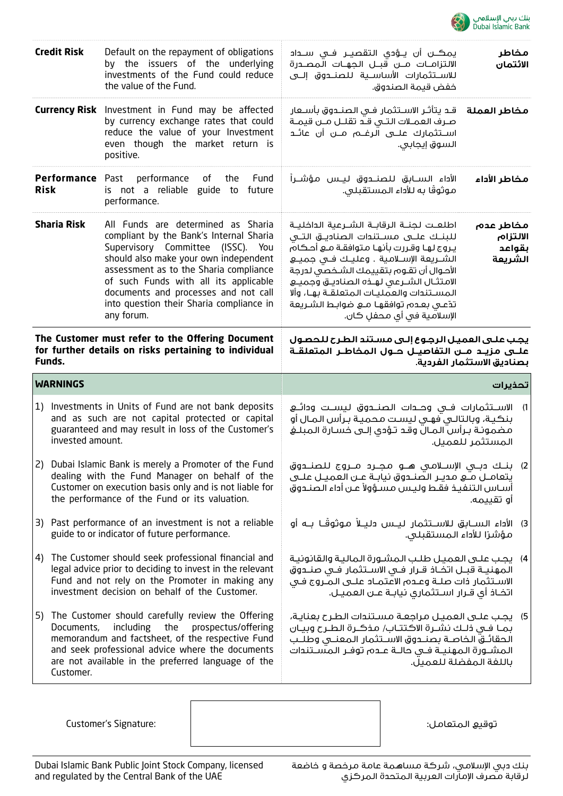

|                                                                                                                     | <b>Credit Risk</b><br>Default on the repayment of obligations<br>by the issuers of the underlying<br>investments of the Fund could reduce<br>the value of the Fund.                                                                                                                                                                                                    |                                                                                                                                                                                                                      | يمڪــن أن يــؤدى الـتقصيــر فــى ســـداد<br>مخاطر<br>الالتزامــات مـــن قبـــل الـجهــات الـمصـــدرة<br>الائتمان<br>للاســتثمارات الأساســية للـصنــدوق إلـــى<br>خفض قيمة الصندوق.                                                                                                                                                                                                                  |                                            |
|---------------------------------------------------------------------------------------------------------------------|------------------------------------------------------------------------------------------------------------------------------------------------------------------------------------------------------------------------------------------------------------------------------------------------------------------------------------------------------------------------|----------------------------------------------------------------------------------------------------------------------------------------------------------------------------------------------------------------------|------------------------------------------------------------------------------------------------------------------------------------------------------------------------------------------------------------------------------------------------------------------------------------------------------------------------------------------------------------------------------------------------------|--------------------------------------------|
|                                                                                                                     | <b>Currency Risk</b> Investment in Fund may be affected<br>by currency exchange rates that could<br>reduce the value of your Investment<br>even though the market return is<br>positive.                                                                                                                                                                               |                                                                                                                                                                                                                      | قـد يتأثـر الاســتثمار فـى الصنــدوق بأســعار<br>صرف العمــلات التــى قــد تقلــل مــن قيمــة<br>اســتثمارك علـــى الرغـــم مـــن أن عائـــد<br>السوق إيجابي.                                                                                                                                                                                                                                        | مخاطر العملة                               |
|                                                                                                                     | Performance Past<br>performance<br>of<br>Fund<br>the<br><b>Risk</b><br>is not a reliable guide to<br>future<br>performance.                                                                                                                                                                                                                                            |                                                                                                                                                                                                                      | الأداء الســابق للصنـــدوق ليــس مؤشــراً<br>موثوقًا به للأداء المستقبلي.                                                                                                                                                                                                                                                                                                                            | مخاطر الأداء                               |
|                                                                                                                     | <b>Sharia Risk</b><br>All Funds are determined as Sharia<br>compliant by the Bank's Internal Sharia<br>Supervisory Committee (ISSC). You<br>should also make your own independent<br>assessment as to the Sharia compliance<br>of such Funds with all its applicable<br>documents and processes and not call<br>into question their Sharia compliance in<br>any forum. |                                                                                                                                                                                                                      | اطلعـت لجنــة الرقابــة الشــرعية الداخليــة<br>للبنـك علــى مســتندات الصناديــق التــى<br>يروج لها وقررت بأنها متوافقة مع أحكام<br>الشــــريعة الإســـلامـية . وعليــك فـــى جميــــع<br>الأحوال أن تقوم بتقييمك الشخصى لدرجة<br>الامتثال الشـرعى لهـذه الصناديـق وجميـع<br>المسـتندات والعمليـات المتعلقـة بهـا، وألا<br>تدَّعـى بعـدم توافقهـا مــع ضوابـط الشـريعة<br>الإسلامية فى أى محفل كان. | مخاطر عدم<br>الالتزام<br>بقواعد<br>الشريعة |
| The Customer must refer to the Offering Document<br>for further details on risks pertaining to individual<br>Funds. |                                                                                                                                                                                                                                                                                                                                                                        |                                                                                                                                                                                                                      | يجب علـى العميـل الرجـوع إلـى مسـتند الطـرح للحصـول<br>علـــى مزيـــد مـــن التفاصيـــل حـــول المخاطــر المتعلقــة                                                                                                                                                                                                                                                                                  |                                            |
|                                                                                                                     |                                                                                                                                                                                                                                                                                                                                                                        |                                                                                                                                                                                                                      |                                                                                                                                                                                                                                                                                                                                                                                                      | بصناديق الاستثمار الفردية.                 |
|                                                                                                                     | <b>WARNINGS</b>                                                                                                                                                                                                                                                                                                                                                        |                                                                                                                                                                                                                      |                                                                                                                                                                                                                                                                                                                                                                                                      | تحذيرات                                    |
| 1)                                                                                                                  | invested amount.                                                                                                                                                                                                                                                                                                                                                       | Investments in Units of Fund are not bank deposits<br>and as such are not capital protected or capital<br>guaranteed and may result in loss of the Customer's                                                        | الاســتثمارات فــي وحــدات الـصنــدوق لـيســت ودائــع<br>بنكية، وبالتالـى فهـى ليست محميـة بـرأس المـال أو<br>مضمونة برأس المال وقد تؤدى إلى خسارة المبلغ                                                                                                                                                                                                                                            | المستثمر للعميل.                           |
| <b>2</b> )                                                                                                          |                                                                                                                                                                                                                                                                                                                                                                        | Dubai Islamic Bank is merely a Promoter of the Fund<br>dealing with the Fund Manager on behalf of the<br>Customer on execution basis only and is not liable for<br>the performance of the Fund or its valuation.     | بنـك دبـي الإسـلامي هــو مجـرد مــروج للصنــدوق<br>يتعامــل مــُــع مديــر الـصنــدوق نيابـة عــن العميــل علـــى<br>أساس التنفيذ فقط وليس مسؤولاً عن أداء الصندوق                                                                                                                                                                                                                                   | (2)<br>أو تقييمه.                          |
|                                                                                                                     |                                                                                                                                                                                                                                                                                                                                                                        | 3) Past performance of an investment is not a reliable<br>guide to or indicator of future performance.                                                                                                               | 3) الأداء الســابق للاســتثمار ليــس دليــلاً مـوثوقَــا بــه أو<br>مؤشرًا للأداء المستقبلي.                                                                                                                                                                                                                                                                                                         |                                            |
| 4)                                                                                                                  |                                                                                                                                                                                                                                                                                                                                                                        | The Customer should seek professional financial and<br>legal advice prior to deciding to invest in the relevant<br>Fund and not rely on the Promoter in making any<br>investment decision on behalf of the Customer. | 4)    يجب علـى العميـل طلـب المشـورة الماليـة والقانونيـة<br>المهنيــة قبــل اتخــاذ قــرار فــى الاســتثمار فــى صنــدوق<br>الاسـتثمار ذات صلــة وعــدم الاعتمــاد علــى الـمــروج فــي<br>اتخـادْ أى قــرار اســتثمارى نيابــة عــن العميــل.                                                                                                                                                      |                                            |

Customer's Signature: :المتعامل توقيع